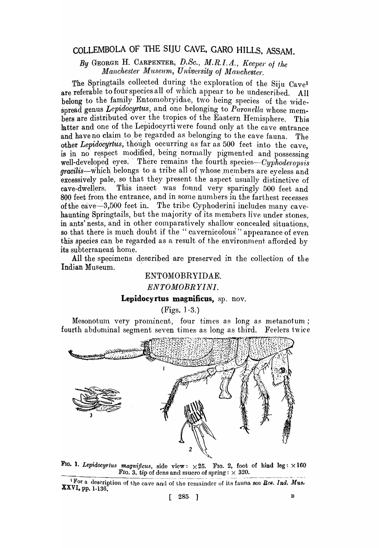# COLLEMBOLA OF THE SIjU CAVE, GARO HILLS, ASSAM.

*By* GEORGE H. CARPENTER, D..SC., *M.R. I. A., Keeper* 0/ *the Manchester Museum" University of Manchester.* 

The Springtails collected during the exploration of the Siju  $C_{ave}$ <sup>1</sup> are referable to four species all of which appear to be undescribed. All belong to the family Entomobryidae, two being species of the widespread genus Lepidocyrtus, and one belonging to *Paronella* whose members are distributed over the tropics of the Eastern Hemisphere. This latter and one of the Lepidocyrti were found only at the cave entrance and have no claim to be regarded as belonging to the cave fauna. The other *Lepidocyrtus*, though occurring as far as 500 feet into the cave. is in no respect modified, being normally pigmented and possessing well-developed eyes. There remains the fourth *species-Cyphoderopsis* gracilis-which belongs to a tribe all of whose members are eyeless and excessively pale, so that they present the aspect usually distinctive of cave-dwellers. This insect was found very sparingly 500 feet and 800 feet from the entrance, and in some numbers in the farthest recesses of the cave-3,500 feet in. The tribe Cyphoderini includes many cavehaunting Springtails, but the majority of its members live under stones, in ants' nests, and in other comparatively shallow concealed situations, so that there is much doubt if the "cavernicolous" appearance of even this species can be regarded as a result of the environment afforded by its subterranean home.

All the specimens desoribed are preserved in the collection of the Indian Museum.

## ENTOMOBRYIDAE.

#### *ENTOMOBRYINI.*

#### Lepidocyrtus magnificus, sp. nov.

(Figs. ] -3. )

Mesonotum very prominent, four times as long as metanotum; fourth abdominal segment seven times as long as third. Feelers twice



FIG. 1. *Lepidocyrtus magnificus*, side view:  $\times 25$ . FIG. 2, foot of hind  $\text{leg}: \times 160$ FIG. 3, tip of dens and mucro of spring:  $\times$  320.

<sup>&</sup>lt;sup>1</sup>For a description of the cave and of the remainder of its fauna see Rec. Ind. Mus. XVI. pp. 1-136.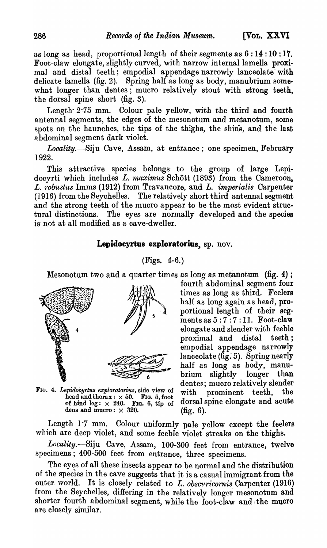as long as head, proportional length of their segments as 6 : 14 : 10 : 17. Foot-claw elongate, slightly curved, with narrow internal lamella proximal and distal teeth; empodial appendage narrowly lanceolate with delicate lamella (fig. 2). Spring half as long as body, manubrium somewhat longer than dentes; mucro relatively stout with strong teeth, the dorsal spine short (fig. 3).

Length  $2.75$  mm. Colour pale yellow, with the third and fourth antennal segments, the edges of the mesonotum and metanotum, some spots on the haunches, the tips of the thighs, the shins, and the last abdominal segment dark violet.

*Locality.-Siju* Cave, Assam, at entrance; one specimen, February 1.922.

This attractive species belongs to the group of large Lepidocyrti which includes *L. maximus* Schött (1893) from the Cameroon, L. *robustus* Imms (1912) from Travancore, and L. *imperialis* Carpenter (1916) from the Seychelles. The relatively short third antennal segment and the strong teeth of the mucro appear to be the most evident structural distinctions. The eyes are normally developed and the species is' not at all modified as a cave-dweller.

# Lepidocyrtus exploratorius, sp. nov.

## (Figs. 4-6. )

Mesonotum two and a quarter times as long as metanotum (fig. 4) ;



FIG. 4. *Lepidocyrtus exploratorius,* side view of with prominent teeth, the dens and mucro:  $\times$  320. (fig. 6).

fourth abdominal segment four times as long as third. Feelers half as long again as head, proportional length of their segments as  $5:7:7:11$ . Foot-claw elongate and slender with feeble proximal and distal teeth; empodial appendage narrowly  $lanceolate$  ( $fig. 5$ ). Spring nearly half as long as body, manubrium slightly longer than dentes; mucro relatively slender head and thorax:  $\times$  50. Frg. 5, foot with prominent  $\text{occm}$ , where  $\text{decm}$  is of thind leg:  $\times$  240. Frg. 6, tip of dorsal spine elongate and acute

Length 1.7 mm. Colour uniformly pale yellow except the feelers which are deep violet, and some feeble violet streaks on the thighs.

Locality.-Siju Cave, Assam, 100-300 feet from entrance, twelve specimens; 400-500 feet from entrance, three specimens.

The eyes of all these insects appear to be normal and the distribution of the species in the cave suggests that it is a casual immigrant from the' outer world. It is closely related to L. *obscuricornis* Carpenter (1916) from the Seychelles, differing in the relatively longer mesonotum and shorter fourth abdominal segment, while the foot-claw and the mucro are closely similar.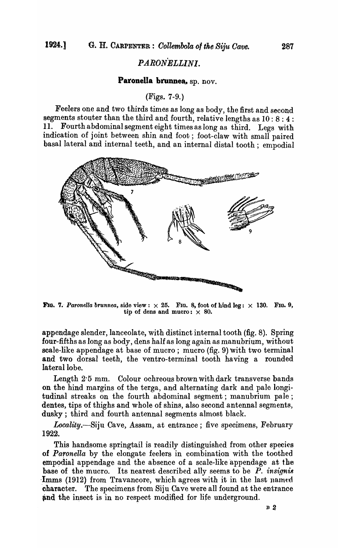# *PARONELLINI.*

### Paronella brunnea, sp. nov.

### (Figs. 7-9.)

Feelers one and two thirds times as long as body, the first and second segments stouter than the third and fourth, relative lengths as 10: 8 : 4 : 11. Fourth abdominal segment eight times as long as third. Legs with indication of joint between shin and foot; foot-claw with small paired basal lateral and internal teeth, and an internal distal tooth; empodial



FIG. 7. *Paronella brunnea*, side view:  $\times$  25. FIG. 8, foot of hind leg:  $\times$  130. FIG. 9, tip of dens and mucro:  $\times$  80.

appendage slender, lanceolate, with distinct internal tooth (fig. 8). Spring four-fifths as long as body, dens half as long again as manubrium, without scale-like appendage at base of mucro; mucro (fig. 9) with two terminal and two dorsal teeth, the ventro-terminal tooth having a rounded lateral lobe.

Length 2'5 mm. Colour ochreous brown with dark transverse bands on the hind margins of the terga, and alternating dark and pale longitudinal streaks on the fourth abdominal segment; manubrium pale; dentes, tips of thighs and whole of shins, also second antennal segments, dusky; third and fourth antennal segments almost black.

*Locality.-Siju* Cave, Assam, at entrance; five specimens, February 1922.

This handsome springtail is readily distinguished from other species of *Paronella* by the elongate feelers in combination with the toothed empodial appendage and the absence of a scale-like appendage at the base of the mucro. Its nearest described ally seems to be  $P$ . insignis Imms (1912) from Travancore, which agrees with it in the last named 'character. The specimens from Siju Cave were all found at the entrance and the insect is in no respect modified for life underground.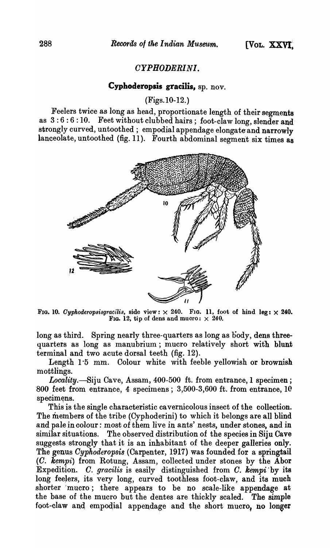# *CYPHODERINI.*

# **Cyphoderopsis gracilis,** sp. nov.

(Figs. 10-12. )

Feelers twice as long as head, proportionate length of their segments as  $3:6:6:10$ . Feet without clubbed hairs; foot-claw long, slender and strongly curved, untoothed; empodial appendage elongate and narrowly lanceolate, untoothed (fig. 11). Fourth abdominal segment six times as



FIG. 10. *Cyphoderopsisgracilis*, side view:  $\times$  240. F1G. 11, foot of hind leg:  $\times$  240. Fig. 12, tip of dens and mucro:  $\times$  240.

long as third. Spring nearly three-quarters as long as body, dens threequarters as long as manubrium; mucro relatively short with blunt terminal and two acute dorsal teeth (fig. 12).

Length 1'5 mm. Colour white with feeble yellowish or brownish mottlings.

Locality.-Siju Cave, Assam, 400-500 ft. from entrance, 1 specimen; 800 feet from entrance, 4 specimens; 3,500-3,600 ft. from entrance, 10 specimens.

This is the single characteristic ca vernicolous insect of the collection. The members of the tribe (Cyphoderini) to which it belongs are all blind and pale in colour: most of them live in ants' nests, under stones, and in similar situations. The observed distribution of the species in Siju Cave suggests strongly that it is an inhabitant of the deeper galleries only. The genus *Oyphoderopsis* (Carpenter, 1917) was founded for a springtail (C. Kempi) from Rotung, Assam, collected under stones by the Abor Expedition. *C. gracilis* is easily distinguished from *C. kempi* by its long feelers, its very long, curved toothless foot-claw, and its much shorter 'mucro; there appears to be no scale-like appendage at the base of the mucro but the dentes are thickly scaled. The simple foot-claw and empodial appendage and the short mucro, no longer